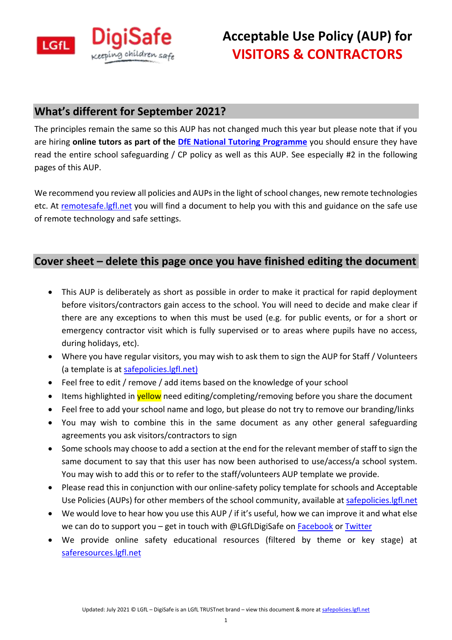

## **What's different for September 2021?**

The principles remain the same so this AUP has not changed much this year but please note that if you are hiring **online tutors as part of the [DfE National Tutoring Programme](https://educationendowmentfoundation.org.uk/covid-19-resources/national-tutoring-programme/ntp-faqs/)** you should ensure they have read the entire school safeguarding / CP policy as well as this AUP. See especially #2 in the following pages of this AUP.

We recommend you review all policies and AUPs in the light of school changes, new remote technologies etc. At [remotesafe.lgfl.net](https://national.lgfl.net/digisafe/safe-remote-learning) you will find a document to help you with this and guidance on the safe use of remote technology and safe settings.

## **Cover sheet – delete this page once you have finished editing the document**

- This AUP is deliberately as short as possible in order to make it practical for rapid deployment before visitors/contractors gain access to the school. You will need to decide and make clear if there are any exceptions to when this must be used (e.g. for public events, or for a short or emergency contractor visit which is fully supervised or to areas where pupils have no access, during holidays, etc).
- Where you have regular visitors, you may wish to ask them to sign the AUP for Staff / Volunteers (a template is at [safepolicies.lgfl.net\)](https://safepolicies.lgfl.net/)
- Feel free to edit / remove / add items based on the knowledge of your school
- Items highlighted in **yellow** need editing/completing/removing before you share the document
- Feel free to add your school name and logo, but please do not try to remove our branding/links
- You may wish to combine this in the same document as any other general safeguarding agreements you ask visitors/contractors to sign
- Some schools may choose to add a section at the end for the relevant member of staff to sign the same document to say that this user has now been authorised to use/access/a school system. You may wish to add this or to refer to the staff/volunteers AUP template we provide.
- Please read this in conjunction with our online-safety policy template for schools and Acceptable Use Policies (AUPs) for other members of the school community, available at [safepolicies.lgfl.net](https://safepolicies.lgfl.net/)
- We would love to hear how you use this AUP / if it's useful, how we can improve it and what else we can do to support you – get in touch with @LGfLDigiSafe on  $Facebook$  o[r Twitter](https://twitter.com/LGfLDigiSafe)</u>
- We provide online safety educational resources (filtered by theme or key stage) at [saferesources.lgfl.net](https://saferesources.lgfl.net/)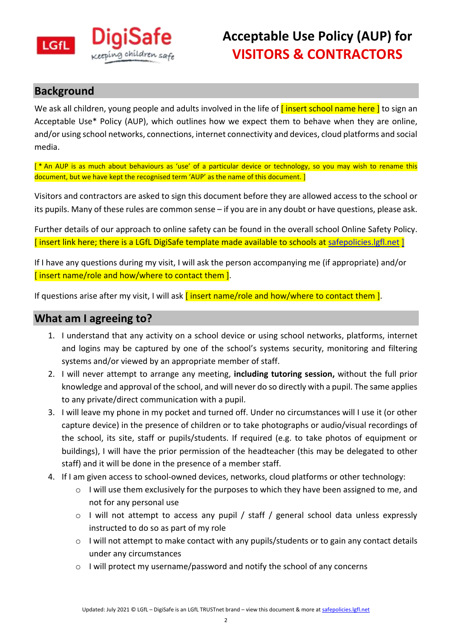

## **Background**

We ask all children, young people and adults involved in the life of *[insert school name here]* to sign an Acceptable Use\* Policy (AUP), which outlines how we expect them to behave when they are online, and/or using school networks, connections, internet connectivity and devices, cloud platforms and social media.

[<sup>\*</sup> An AUP is as much about behaviours as 'use' of a particular device or technology, so you may wish to rename this document, but we have kept the recognised term 'AUP' as the name of this document. ]

Visitors and contractors are asked to sign this document before they are allowed access to the school or its pupils. Many of these rules are common sense – if you are in any doubt or have questions, please ask.

Further details of our approach to online safety can be found in the overall school Online Safety Policy. [ insert link here; there is a LGfL DigiSafe template made available to schools at [safepolicies.lgfl.net](https://safepolicies.lgfl.net/) ]

If I have any questions during my visit, I will ask the person accompanying me (if appropriate) and/or [insert name/role and how/where to contact them ].

If questions arise after my visit. I will ask  $\overline{I}$  insert name/role and how/where to contact them  $I$ .

## **What am I agreeing to?**

- 1. I understand that any activity on a school device or using school networks, platforms, internet and logins may be captured by one of the school's systems security, monitoring and filtering systems and/or viewed by an appropriate member of staff.
- 2. I will never attempt to arrange any meeting, **including tutoring session,** without the full prior knowledge and approval of the school, and will never do so directly with a pupil. The same applies to any private/direct communication with a pupil.
- 3. I will leave my phone in my pocket and turned off. Under no circumstances will I use it (or other capture device) in the presence of children or to take photographs or audio/visual recordings of the school, its site, staff or pupils/students. If required (e.g. to take photos of equipment or buildings), I will have the prior permission of the headteacher (this may be delegated to other staff) and it will be done in the presence of a member staff.
- 4. If I am given access to school-owned devices, networks, cloud platforms or other technology:
	- o I will use them exclusively for the purposes to which they have been assigned to me, and not for any personal use
	- $\circ$  I will not attempt to access any pupil / staff / general school data unless expressly instructed to do so as part of my role
	- $\circ$  I will not attempt to make contact with any pupils/students or to gain any contact details under any circumstances
	- $\circ$  I will protect my username/password and notify the school of any concerns